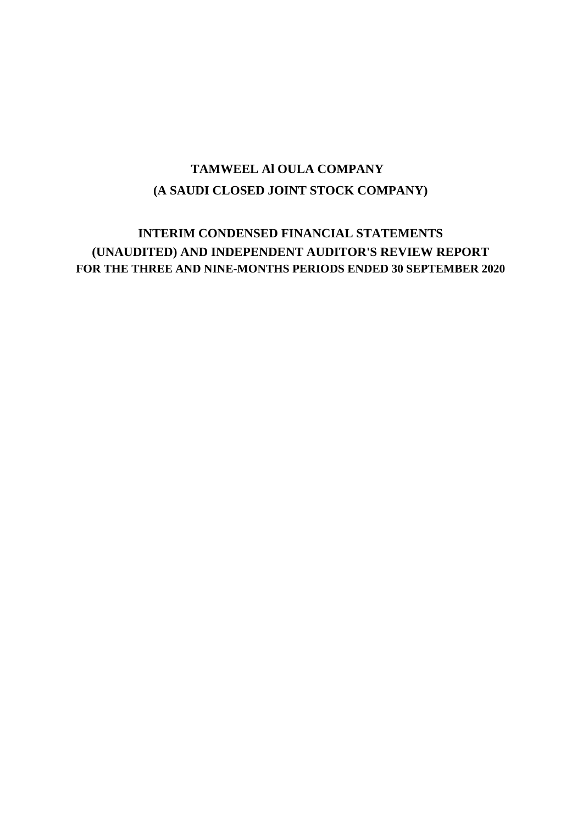## **(A SAUDI CLOSED JOINT STOCK COMPANY) TAMWEEL Al OULA COMPANY**

## **INTERIM CONDENSED FINANCIAL STATEMENTS (UNAUDITED) AND INDEPENDENT AUDITOR'S REVIEW REPORT FOR THE THREE AND NINE-MONTHS PERIODS ENDED 30 SEPTEMBER 2020**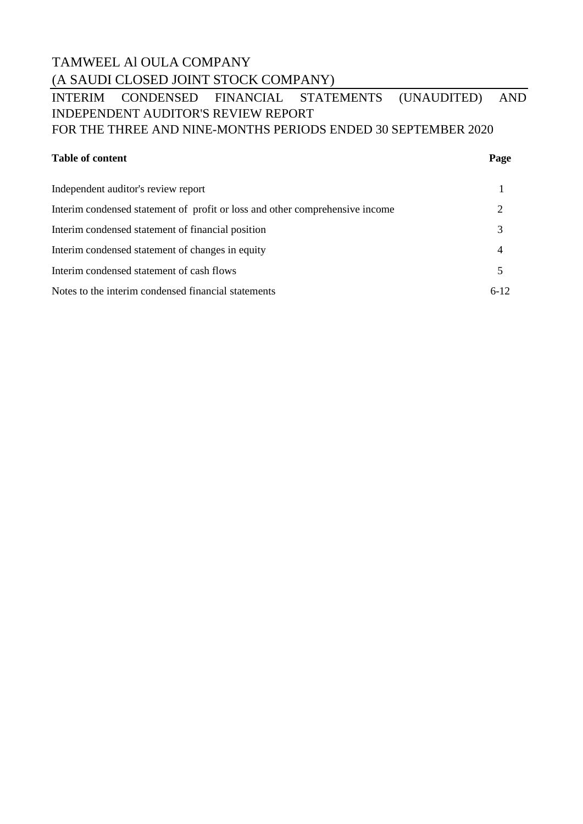## TAMWEEL Al OULA COMPANY (A SAUDI CLOSED JOINT STOCK COMPANY)

## INTERIM CONDENSED FINANCIAL STATEMENTS (UNAUDITED) AND INDEPENDENT AUDITOR'S REVIEW REPORT FOR THE THREE AND NINE-MONTHS PERIODS ENDED 30 SEPTEMBER 2020

### **Table of content Page**

| Independent auditor's review report                                          |          |
|------------------------------------------------------------------------------|----------|
| Interim condensed statement of profit or loss and other comprehensive income |          |
| Interim condensed statement of financial position                            |          |
| Interim condensed statement of changes in equity                             |          |
| Interim condensed statement of cash flows                                    |          |
| Notes to the interim condensed financial statements                          | $6 - 12$ |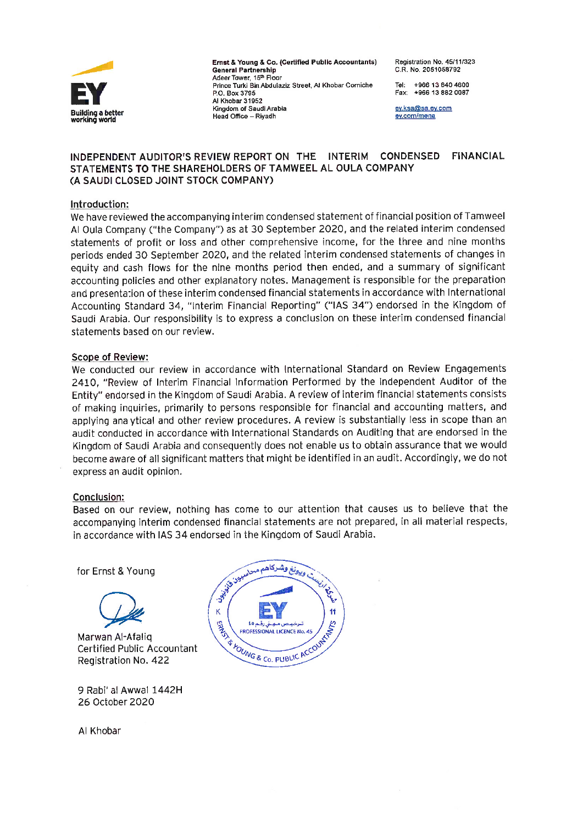

Ernst & Young & Co. (Certified Public Accountants) **General Partnership** Adeer Tower, 15th Floor Prince Turki Bin Abdulaziz Street, Al Khobar Corniche P.O. Box 3795 Al Khobar 31952 Kingdom of Saudi Arabia Head Office - Rivadh

Registration No. 45/11/323 C.R. No. 2051058792

Tel: +966 13 840 4600 Fax: +966 13 882 0087

ev.ksa@sa.ev.com ev.com/mena

#### INDEPENDENT AUDITOR'S REVIEW REPORT ON THE INTERIM **CONDENSED FINANCIAL** STATEMENTS TO THE SHAREHOLDERS OF TAMWEEL AL OULA COMPANY (A SAUDI CLOSED JOINT STOCK COMPANY)

### Introduction:

We have reviewed the accompanying interim condensed statement of financial position of Tamweel Al Oula Company ("the Company") as at 30 September 2020, and the related interim condensed statements of profit or loss and other comprehensive income, for the three and nine months periods ended 30 September 2020, and the related interim condensed statements of changes in equity and cash flows for the nine months period then ended, and a summary of significant accounting policies and other explanatory notes. Management is responsible for the preparation and presentation of these interim condensed financial statements in accordance with International Accounting Standard 34, "Interim Financial Reporting" ("IAS 34") endorsed in the Kingdom of Saudi Arabia. Our responsibility is to express a conclusion on these interim condensed financial statements based on our review.

### **Scope of Review:**

We conducted our review in accordance with International Standard on Review Engagements 2410, "Review of Interim Financial Information Performed by the Independent Auditor of the Entity" endorsed in the Kingdom of Saudi Arabia. A review of interim financial statements consists of making inquiries, primarily to persons responsible for financial and accounting matters, and applying analytical and other review procedures. A review is substantially less in scope than an audit conducted in accordance with International Standards on Auditing that are endorsed in the Kingdom of Saudi Arabia and consequently does not enable us to obtain assurance that we would become aware of all significant matters that might be identified in an audit. Accordingly, we do not express an audit opinion.

### **Conclusion:**

Based on our review, nothing has come to our attention that causes us to believe that the accompanying interim condensed financial statements are not prepared, in all material respects, in accordance with IAS 34 endorsed in the Kingdom of Saudi Arabia.

for Ernst & Young



Marwan Al-Afalig **Certified Public Accountant** Registration No. 422

9 Rabi' al Awwal 1442H 26 October 2020

Al Khobar

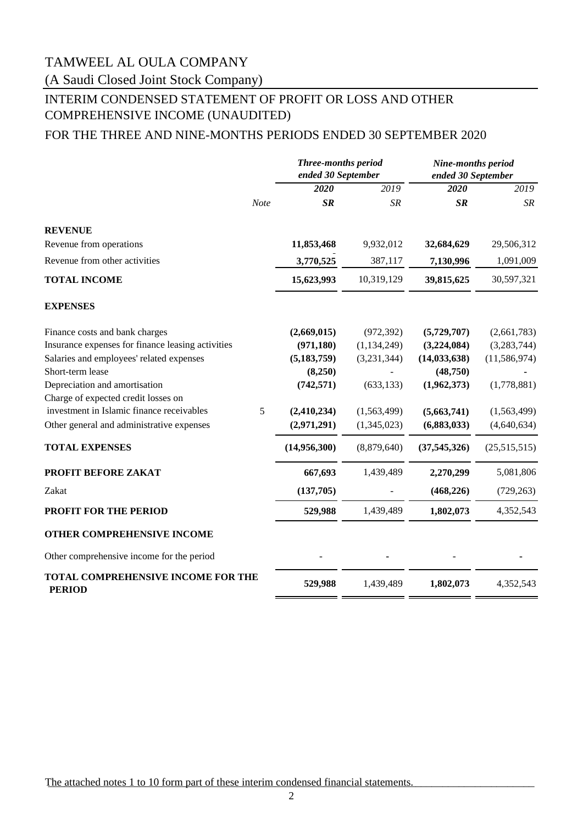(A Saudi Closed Joint Stock Company)

## INTERIM CONDENSED STATEMENT OF PROFIT OR LOSS AND OTHER COMPREHENSIVE INCOME (UNAUDITED)

### FOR THE THREE AND NINE-MONTHS PERIODS ENDED 30 SEPTEMBER 2020

|                                                            |      | <b>Three-months period</b><br>ended 30 September |               | Nine-months period<br>ended 30 September |                |
|------------------------------------------------------------|------|--------------------------------------------------|---------------|------------------------------------------|----------------|
|                                                            |      | 2020                                             | 2019          | 2020                                     | 2019           |
|                                                            | Note | SR                                               | <b>SR</b>     | $S_{R}$                                  | SR             |
| <b>REVENUE</b>                                             |      |                                                  |               |                                          |                |
| Revenue from operations                                    |      | 11,853,468                                       | 9,932,012     | 32,684,629                               | 29,506,312     |
| Revenue from other activities                              |      | 3,770,525                                        | 387,117       | 7,130,996                                | 1,091,009      |
| <b>TOTAL INCOME</b>                                        |      | 15,623,993                                       | 10,319,129    | 39,815,625                               | 30,597,321     |
| <b>EXPENSES</b>                                            |      |                                                  |               |                                          |                |
| Finance costs and bank charges                             |      | (2,669,015)                                      | (972, 392)    | (5,729,707)                              | (2,661,783)    |
| Insurance expenses for finance leasing activities          |      | (971, 180)                                       | (1, 134, 249) | (3,224,084)                              | (3,283,744)    |
| Salaries and employees' related expenses                   |      | (5, 183, 759)                                    | (3,231,344)   | (14, 033, 638)                           | (11, 586, 974) |
| Short-term lease                                           |      | (8,250)                                          |               | (48,750)                                 |                |
| Depreciation and amortisation                              |      | (742, 571)                                       | (633, 133)    | (1,962,373)                              | (1,778,881)    |
| Charge of expected credit losses on                        |      |                                                  |               |                                          |                |
| investment in Islamic finance receivables                  | 5    | (2,410,234)                                      | (1,563,499)   | (5,663,741)                              | (1,563,499)    |
| Other general and administrative expenses                  |      | (2,971,291)                                      | (1,345,023)   | (6,883,033)                              | (4,640,634)    |
| <b>TOTAL EXPENSES</b>                                      |      | (14,956,300)                                     | (8,879,640)   | (37, 545, 326)                           | (25,515,515)   |
| PROFIT BEFORE ZAKAT                                        |      | 667,693                                          | 1,439,489     | 2,270,299                                | 5,081,806      |
| Zakat                                                      |      | (137,705)                                        |               | (468, 226)                               | (729, 263)     |
| PROFIT FOR THE PERIOD                                      |      | 529,988                                          | 1,439,489     | 1,802,073                                | 4,352,543      |
| OTHER COMPREHENSIVE INCOME                                 |      |                                                  |               |                                          |                |
| Other comprehensive income for the period                  |      |                                                  |               |                                          |                |
| <b>TOTAL COMPREHENSIVE INCOME FOR THE</b><br><b>PERIOD</b> |      | 529,988                                          | 1,439,489     | 1,802,073                                | 4,352,543      |

The attached notes 1 to 10 form part of these interim condensed financial statements.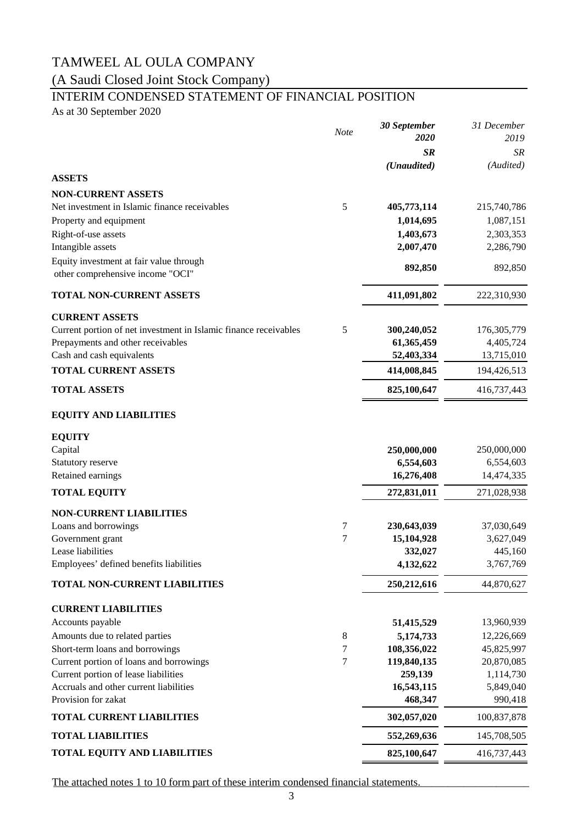## (A Saudi Closed Joint Stock Company)

## INTERIM CONDENSED STATEMENT OF FINANCIAL POSITION

As at 30 September 2020

|                                                                  |             | 30 September  | 31 December   |
|------------------------------------------------------------------|-------------|---------------|---------------|
|                                                                  | <b>Note</b> | 2020          | 2019          |
|                                                                  |             | <b>SR</b>     | SR            |
|                                                                  |             | (Unaudited)   | (Audited)     |
| <b>ASSETS</b>                                                    |             |               |               |
| <b>NON-CURRENT ASSETS</b>                                        |             |               |               |
| Net investment in Islamic finance receivables                    | 5           | 405,773,114   | 215,740,786   |
| Property and equipment                                           |             | 1,014,695     | 1,087,151     |
| Right-of-use assets                                              |             | 1,403,673     | 2,303,353     |
| Intangible assets                                                |             | 2,007,470     | 2,286,790     |
| Equity investment at fair value through                          |             |               |               |
| other comprehensive income "OCI"                                 |             | 892,850       | 892,850       |
| <b>TOTAL NON-CURRENT ASSETS</b>                                  |             | 411,091,802   | 222,310,930   |
| <b>CURRENT ASSETS</b>                                            |             |               |               |
| Current portion of net investment in Islamic finance receivables | 5           | 300,240,052   | 176, 305, 779 |
| Prepayments and other receivables                                |             | 61,365,459    | 4,405,724     |
| Cash and cash equivalents                                        |             | 52,403,334    | 13,715,010    |
| <b>TOTAL CURRENT ASSETS</b>                                      |             | 414,008,845   | 194,426,513   |
| <b>TOTAL ASSETS</b>                                              |             | 825,100,647   | 416,737,443   |
| <b>EQUITY AND LIABILITIES</b>                                    |             |               |               |
| <b>EQUITY</b>                                                    |             |               |               |
| Capital                                                          |             | 250,000,000   | 250,000,000   |
| Statutory reserve                                                |             | 6,554,603     | 6,554,603     |
| Retained earnings                                                |             | 16,276,408    | 14,474,335    |
| <b>TOTAL EQUITY</b>                                              |             | 272,831,011   | 271,028,938   |
| <b>NON-CURRENT LIABILITIES</b>                                   |             |               |               |
| Loans and borrowings                                             | 7           | 230,643,039   | 37,030,649    |
| Government grant                                                 | 7           | 15,104,928    | 3,627,049     |
| Lease liabilities                                                |             | 332,027       | 445,160       |
| Employees' defined benefits liabilities                          |             | 4,132,622     | 3,767,769     |
| TOTAL NON-CURRENT LIABILITIES                                    |             | 250, 212, 616 | 44,870,627    |
| <b>CURRENT LIABILITIES</b>                                       |             |               |               |
| Accounts payable                                                 |             | 51,415,529    | 13,960,939    |
| Amounts due to related parties                                   | $8\,$       | 5,174,733     | 12,226,669    |
| Short-term loans and borrowings                                  | 7           | 108,356,022   | 45,825,997    |
| Current portion of loans and borrowings                          | $\tau$      | 119,840,135   | 20,870,085    |
| Current portion of lease liabilities                             |             | 259,139       | 1,114,730     |
| Accruals and other current liabilities                           |             | 16,543,115    | 5,849,040     |
| Provision for zakat                                              |             | 468,347       | 990,418       |
| <b>TOTAL CURRENT LIABILITIES</b>                                 |             | 302,057,020   | 100,837,878   |
| <b>TOTAL LIABILITIES</b>                                         |             | 552,269,636   | 145,708,505   |
| <b>TOTAL EQUITY AND LIABILITIES</b>                              |             | 825,100,647   | 416,737,443   |

The attached notes 1 to 10 form part of these interim condensed financial statements.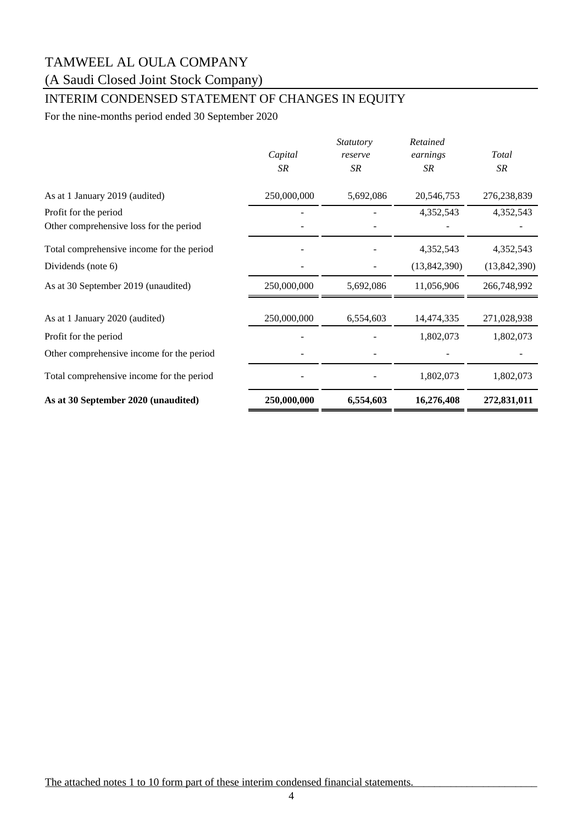## (A Saudi Closed Joint Stock Company)

## INTERIM CONDENSED STATEMENT OF CHANGES IN EQUITY

For the nine-months period ended 30 September 2020

|                                           | Capital<br>SR | <i>Statutory</i><br>reserve<br>SR | Retained<br>earnings<br>SR | <b>Total</b><br>SR |
|-------------------------------------------|---------------|-----------------------------------|----------------------------|--------------------|
| As at 1 January 2019 (audited)            | 250,000,000   | 5,692,086                         | 20,546,753                 | 276,238,839        |
| Profit for the period                     |               |                                   | 4,352,543                  | 4,352,543          |
| Other comprehensive loss for the period   |               |                                   |                            |                    |
| Total comprehensive income for the period |               |                                   | 4,352,543                  | 4,352,543          |
| Dividends (note 6)                        |               |                                   | (13,842,390)               | (13,842,390)       |
| As at 30 September 2019 (unaudited)       | 250,000,000   | 5,692,086                         | 11,056,906                 | 266,748,992        |
| As at 1 January 2020 (audited)            | 250,000,000   | 6,554,603                         | 14,474,335                 | 271,028,938        |
| Profit for the period                     |               |                                   | 1,802,073                  | 1,802,073          |
| Other comprehensive income for the period |               |                                   |                            |                    |
| Total comprehensive income for the period |               |                                   | 1,802,073                  | 1,802,073          |
| As at 30 September 2020 (unaudited)       | 250,000,000   | 6,554,603                         | 16,276,408                 | 272,831,011        |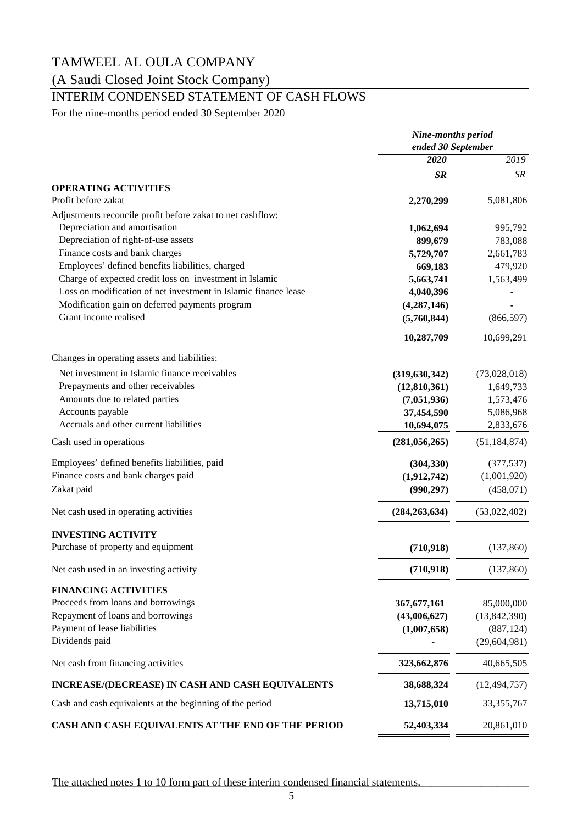## (A Saudi Closed Joint Stock Company)

## INTERIM CONDENSED STATEMENT OF CASH FLOWS

For the nine-months period ended 30 September 2020

|                                                                 | <b>Nine-months period</b> |                |  |
|-----------------------------------------------------------------|---------------------------|----------------|--|
|                                                                 | ended 30 September        |                |  |
|                                                                 | 2020                      | 2019           |  |
|                                                                 | <b>SR</b>                 | SR             |  |
| <b>OPERATING ACTIVITIES</b>                                     |                           |                |  |
| Profit before zakat                                             | 2,270,299                 | 5,081,806      |  |
| Adjustments reconcile profit before zakat to net cashflow:      |                           |                |  |
| Depreciation and amortisation                                   | 1,062,694                 | 995,792        |  |
| Depreciation of right-of-use assets                             | 899,679                   | 783,088        |  |
| Finance costs and bank charges                                  | 5,729,707                 | 2,661,783      |  |
| Employees' defined benefits liabilities, charged                | 669,183                   | 479,920        |  |
| Charge of expected credit loss on investment in Islamic         | 5,663,741                 | 1,563,499      |  |
| Loss on modification of net investment in Islamic finance lease | 4,040,396                 |                |  |
| Modification gain on deferred payments program                  | (4,287,146)               |                |  |
| Grant income realised                                           | (5,760,844)               | (866, 597)     |  |
|                                                                 |                           |                |  |
|                                                                 | 10,287,709                | 10,699,291     |  |
| Changes in operating assets and liabilities:                    |                           |                |  |
| Net investment in Islamic finance receivables                   | (319, 630, 342)           | (73,028,018)   |  |
| Prepayments and other receivables                               | (12,810,361)              | 1,649,733      |  |
| Amounts due to related parties                                  | (7,051,936)               | 1,573,476      |  |
| Accounts payable                                                | 37,454,590                | 5,086,968      |  |
| Accruals and other current liabilities                          | 10,694,075                | 2,833,676      |  |
| Cash used in operations                                         | (281, 056, 265)           | (51, 184, 874) |  |
| Employees' defined benefits liabilities, paid                   | (304, 330)                | (377, 537)     |  |
| Finance costs and bank charges paid                             | (1,912,742)               | (1,001,920)    |  |
| Zakat paid                                                      | (990, 297)                | (458,071)      |  |
| Net cash used in operating activities                           | (284, 263, 634)           | (53,022,402)   |  |
| <b>INVESTING ACTIVITY</b>                                       |                           |                |  |
| Purchase of property and equipment                              | (710, 918)                | (137,860)      |  |
| Net cash used in an investing activity                          | (710, 918)                | (137, 860)     |  |
| <b>FINANCING ACTIVITIES</b>                                     |                           |                |  |
| Proceeds from loans and borrowings                              | 367, 677, 161             | 85,000,000     |  |
| Repayment of loans and borrowings                               | (43,006,627)              | (13, 842, 390) |  |
| Payment of lease liabilities                                    | (1,007,658)               | (887, 124)     |  |
| Dividends paid                                                  |                           | (29, 604, 981) |  |
| Net cash from financing activities                              | 323,662,876               | 40,665,505     |  |
| INCREASE/(DECREASE) IN CASH AND CASH EQUIVALENTS                | 38,688,324                | (12, 494, 757) |  |
| Cash and cash equivalents at the beginning of the period        | 13,715,010                | 33, 355, 767   |  |
| CASH AND CASH EQUIVALENTS AT THE END OF THE PERIOD              | 52,403,334                | 20,861,010     |  |

The attached notes 1 to 10 form part of these interim condensed financial statements.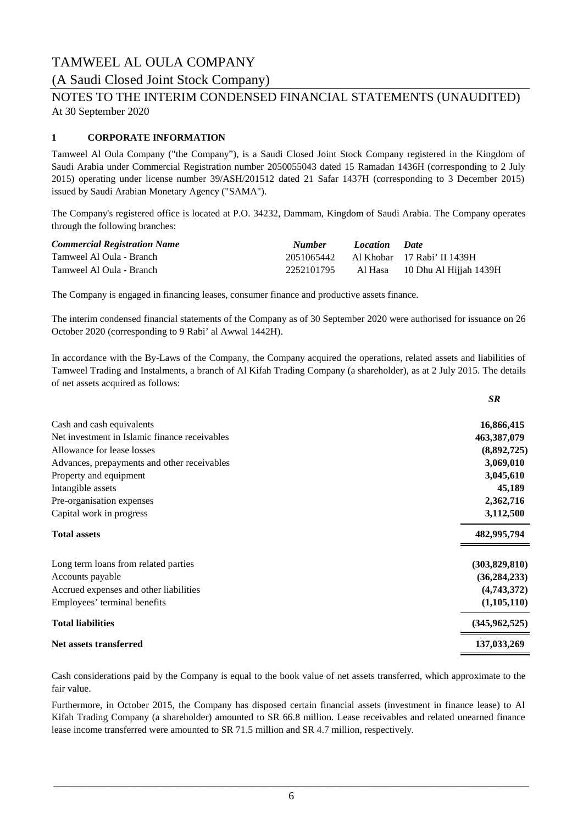### (A Saudi Closed Joint Stock Company)

At 30 September 2020 NOTES TO THE INTERIM CONDENSED FINANCIAL STATEMENTS (UNAUDITED)

### **1 CORPORATE INFORMATION**

Tamweel Al Oula Company ("the Company"), is a Saudi Closed Joint Stock Company registered in the Kingdom of Saudi Arabia under Commercial Registration number 2050055043 dated 15 Ramadan 1436H (corresponding to 2 July 2015) operating under license number 39/ASH/201512 dated 21 Safar 1437H (corresponding to 3 December 2015) issued by Saudi Arabian Monetary Agency ("SAMA").

The Company's registered office is located at P.O. 34232, Dammam, Kingdom of Saudi Arabia. The Company operates through the following branches:

| <b>Commercial Registration Name</b> | <b>Number</b> | <i>Location</i> | <i>Date</i>                            |
|-------------------------------------|---------------|-----------------|----------------------------------------|
| Tamweel Al Oula - Branch            |               |                 | 2051065442 Al Khobar 17 Rabi' II 1439H |
| Tamweel Al Oula - Branch            | 2252101795    |                 | Al Hasa 10 Dhu Al Hijjah 1439H         |

The Company is engaged in financing leases, consumer finance and productive assets finance.

The interim condensed financial statements of the Company as of 30 September 2020 were authorised for issuance on 26 October 2020 (corresponding to 9 Rabi' al Awwal 1442H).

In accordance with the By-Laws of the Company, the Company acquired the operations, related assets and liabilities of Tamweel Trading and Instalments, a branch of Al Kifah Trading Company (a shareholder), as at 2 July 2015. The details of net assets acquired as follows:

*SR*

|                                               | IJΛ             |
|-----------------------------------------------|-----------------|
| Cash and cash equivalents                     | 16,866,415      |
| Net investment in Islamic finance receivables | 463,387,079     |
| Allowance for lease losses                    | (8,892,725)     |
| Advances, prepayments and other receivables   | 3,069,010       |
| Property and equipment                        | 3,045,610       |
| Intangible assets                             | 45,189          |
| Pre-organisation expenses                     | 2,362,716       |
| Capital work in progress                      | 3,112,500       |
| <b>Total assets</b>                           | 482,995,794     |
| Long term loans from related parties          | (303,829,810)   |
| Accounts payable                              | (36, 284, 233)  |
| Accrued expenses and other liabilities        | (4,743,372)     |
| Employees' terminal benefits                  | (1,105,110)     |
| <b>Total liabilities</b>                      | (345, 962, 525) |
| Net assets transferred                        | 137,033,269     |
|                                               |                 |

Cash considerations paid by the Company is equal to the book value of net assets transferred, which approximate to the fair value.

Furthermore, in October 2015, the Company has disposed certain financial assets (investment in finance lease) to Al Kifah Trading Company (a shareholder) amounted to SR 66.8 million. Lease receivables and related unearned finance lease income transferred were amounted to SR 71.5 million and SR 4.7 million, respectively.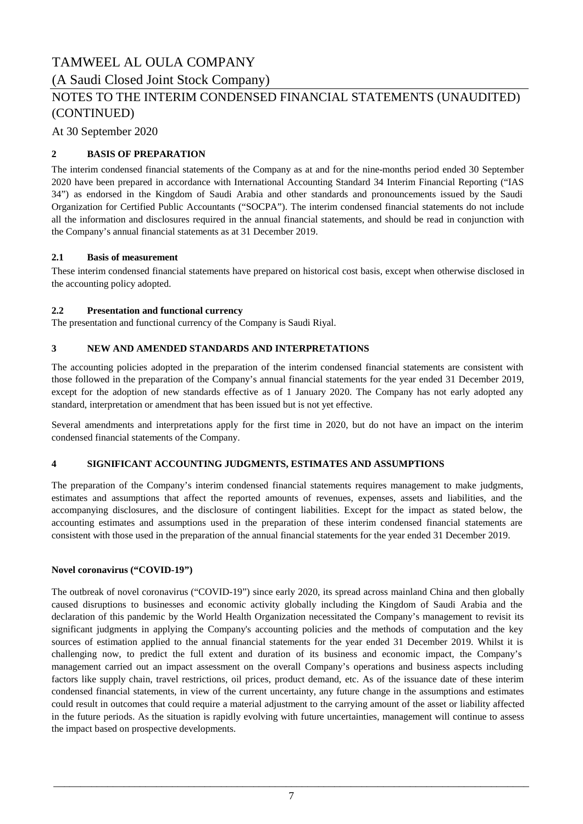(A Saudi Closed Joint Stock Company)

## NOTES TO THE INTERIM CONDENSED FINANCIAL STATEMENTS (UNAUDITED) (CONTINUED)

At 30 September 2020

### **2 BASIS OF PREPARATION**

The interim condensed financial statements of the Company as at and for the nine-months period ended 30 September 2020 have been prepared in accordance with International Accounting Standard 34 Interim Financial Reporting ("IAS 34") as endorsed in the Kingdom of Saudi Arabia and other standards and pronouncements issued by the Saudi Organization for Certified Public Accountants ("SOCPA"). The interim condensed financial statements do not include all the information and disclosures required in the annual financial statements, and should be read in conjunction with the Company's annual financial statements as at 31 December 2019.

### **2.1 Basis of measurement**

These interim condensed financial statements have prepared on historical cost basis, except when otherwise disclosed in the accounting policy adopted.

### **2.2 Presentation and functional currency**

The presentation and functional currency of the Company is Saudi Riyal.

#### **3 NEW AND AMENDED STANDARDS AND INTERPRETATIONS**

The accounting policies adopted in the preparation of the interim condensed financial statements are consistent with those followed in the preparation of the Company's annual financial statements for the year ended 31 December 2019, except for the adoption of new standards effective as of 1 January 2020. The Company has not early adopted any standard, interpretation or amendment that has been issued but is not yet effective.

Several amendments and interpretations apply for the first time in 2020, but do not have an impact on the interim condensed financial statements of the Company.

#### **4 SIGNIFICANT ACCOUNTING JUDGMENTS, ESTIMATES AND ASSUMPTIONS**

The preparation of the Company's interim condensed financial statements requires management to make judgments, estimates and assumptions that affect the reported amounts of revenues, expenses, assets and liabilities, and the accompanying disclosures, and the disclosure of contingent liabilities. Except for the impact as stated below, the accounting estimates and assumptions used in the preparation of these interim condensed financial statements are consistent with those used in the preparation of the annual financial statements for the year ended 31 December 2019.

### **Novel coronavirus ("COVID-19")**

The outbreak of novel coronavirus ("COVID-19") since early 2020, its spread across mainland China and then globally caused disruptions to businesses and economic activity globally including the Kingdom of Saudi Arabia and the declaration of this pandemic by the World Health Organization necessitated the Company's management to revisit its significant judgments in applying the Company's accounting policies and the methods of computation and the key sources of estimation applied to the annual financial statements for the year ended 31 December 2019. Whilst it is challenging now, to predict the full extent and duration of its business and economic impact, the Company's management carried out an impact assessment on the overall Company's operations and business aspects including factors like supply chain, travel restrictions, oil prices, product demand, etc. As of the issuance date of these interim condensed financial statements, in view of the current uncertainty, any future change in the assumptions and estimates could result in outcomes that could require a material adjustment to the carrying amount of the asset or liability affected in the future periods. As the situation is rapidly evolving with future uncertainties, management will continue to assess the impact based on prospective developments.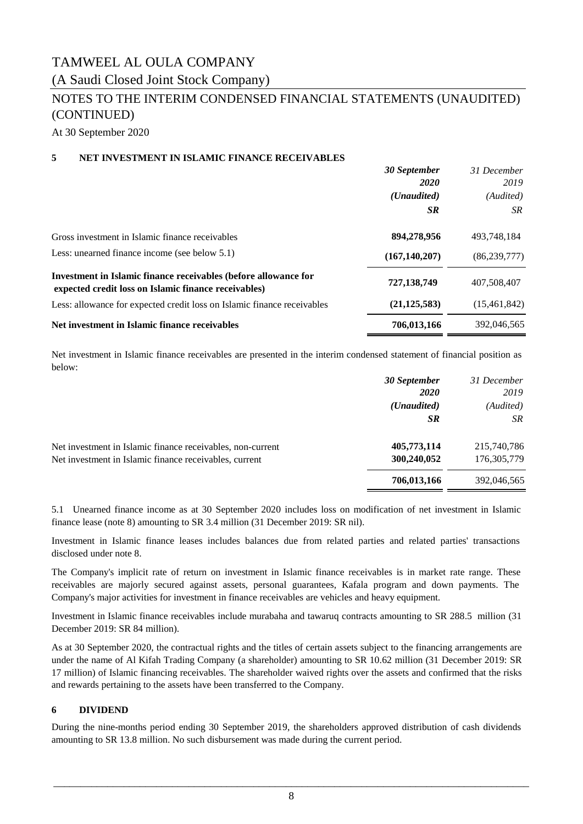## TAMWEEL AL OULA COMPANY (A Saudi Closed Joint Stock Company)

## NOTES TO THE INTERIM CONDENSED FINANCIAL STATEMENTS (UNAUDITED) (CONTINUED)

 *30 September*

At 30 September 2020

### **5 NET INVESTMENT IN ISLAMIC FINANCE RECEIVABLES**

|                                                                                                                         | 30 September<br><i>2020</i> | 31 December<br>2019 |
|-------------------------------------------------------------------------------------------------------------------------|-----------------------------|---------------------|
|                                                                                                                         | ( <i>Unaudited</i> )        | (Audited)           |
|                                                                                                                         | <b>SR</b>                   | SR                  |
| Gross investment in Islamic finance receivables                                                                         | 894,278,956                 | 493,748,184         |
| Less: unearned finance income (see below 5.1)                                                                           | (167, 140, 207)             | (86, 239, 777)      |
| Investment in Islamic finance receivables (before allowance for<br>expected credit loss on Islamic finance receivables) | 727,138,749                 | 407,508,407         |
| Less: allowance for expected credit loss on Islamic finance receivables                                                 | (21, 125, 583)              | (15, 461, 842)      |
| Net investment in Islamic finance receivables                                                                           | 706,013,166                 | 392,046,565         |

Net investment in Islamic finance receivables are presented in the interim condensed statement of financial position as below:

|                                                            | 30 September         | 31 December   |
|------------------------------------------------------------|----------------------|---------------|
|                                                            | <b>2020</b>          | 2019          |
|                                                            | ( <i>Unaudited</i> ) | (Audited)     |
|                                                            | SR.                  | SR            |
| Net investment in Islamic finance receivables, non-current | 405,773,114          | 215,740,786   |
| Net investment in Islamic finance receivables, current     | 300,240,052          | 176, 305, 779 |
|                                                            | 706,013,166          | 392,046,565   |

5.1 Unearned finance income as at 30 September 2020 includes loss on modification of net investment in Islamic finance lease (note 8) amounting to SR 3.4 million (31 December 2019: SR nil).

Investment in Islamic finance leases includes balances due from related parties and related parties' transactions disclosed under note 8.

The Company's implicit rate of return on investment in Islamic finance receivables is in market rate range. These receivables are majorly secured against assets, personal guarantees, Kafala program and down payments. The Company's major activities for investment in finance receivables are vehicles and heavy equipment.

Investment in Islamic finance receivables include murabaha and tawaruq contracts amounting to SR 288.5 million (31 December 2019: SR 84 million).

As at 30 September 2020, the contractual rights and the titles of certain assets subject to the financing arrangements are under the name of Al Kifah Trading Company (a shareholder) amounting to SR 10.62 million (31 December 2019: SR 17 million) of Islamic financing receivables. The shareholder waived rights over the assets and confirmed that the risks and rewards pertaining to the assets have been transferred to the Company.

### **6 DIVIDEND**

During the nine-months period ending 30 September 2019, the shareholders approved distribution of cash dividends amounting to SR 13.8 million. No such disbursement was made during the current period.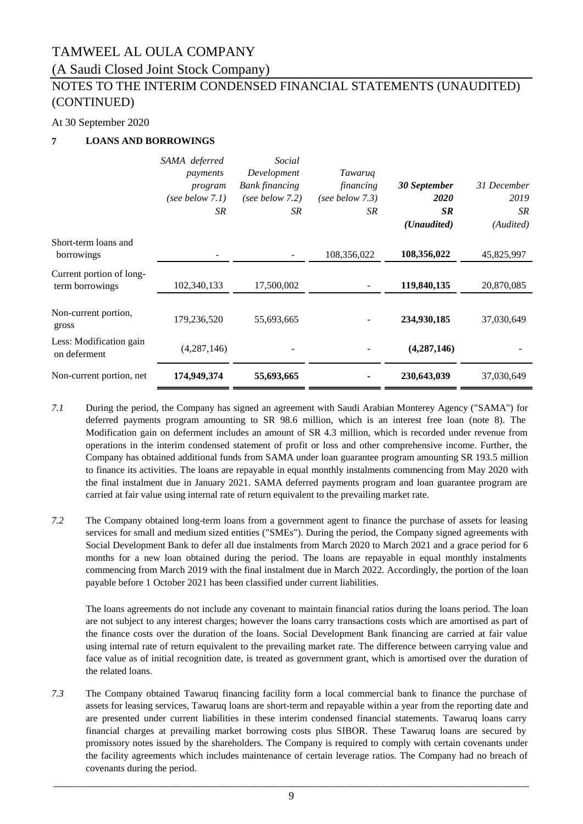(A Saudi Closed Joint Stock Company)

## NOTES TO THE INTERIM CONDENSED FINANCIAL STATEMENTS (UNAUDITED) (CONTINUED)

### At 30 September 2020

### **7 LOANS AND BORROWINGS**

|                                             | SAMA deferred<br>payments<br>program<br>(see below $7.1$ )<br>SR | Social<br>Development<br><b>Bank</b> financing<br>(see below $7.2$ )<br>SR | Tawaruq<br>financing<br>(see below $7.3$ )<br>SR | 30 September<br><i>2020</i><br><b>SR</b><br>(Unaudited) | 31 December<br>2019<br>SR.<br>(Audited) |
|---------------------------------------------|------------------------------------------------------------------|----------------------------------------------------------------------------|--------------------------------------------------|---------------------------------------------------------|-----------------------------------------|
| Short-term loans and<br>borrowings          |                                                                  |                                                                            | 108,356,022                                      | 108,356,022                                             | 45,825,997                              |
| Current portion of long-<br>term borrowings | 102,340,133                                                      | 17,500,002                                                                 |                                                  | 119,840,135                                             | 20,870,085                              |
| Non-current portion,<br>gross               | 179,236,520                                                      | 55,693,665                                                                 |                                                  | 234,930,185                                             | 37,030,649                              |
| Less: Modification gain<br>on deferment     | (4,287,146)                                                      |                                                                            |                                                  | (4, 287, 146)                                           |                                         |
| Non-current portion, net                    | 174,949,374                                                      | 55,693,665                                                                 |                                                  | 230,643,039                                             | 37,030,649                              |

- *7.1* During the period, the Company has signed an agreement with Saudi Arabian Monterey Agency ("SAMA") for deferred payments program amounting to SR 98.6 million, which is an interest free loan (note 8). The Modification gain on deferment includes an amount of SR 4.3 million, which is recorded under revenue from operations in the interim condensed statement of profit or loss and other comprehensive income. Further, the Company has obtained additional funds from SAMA under loan guarantee program amounting SR 193.5 million to finance its activities. The loans are repayable in equal monthly instalments commencing from May 2020 with the final instalment due in January 2021. SAMA deferred payments program and loan guarantee program are carried at fair value using internal rate of return equivalent to the prevailing market rate.
- *7.2* The Company obtained long-term loans from a government agent to finance the purchase of assets for leasing services for small and medium sized entities ("SMEs"). During the period, the Company signed agreements with Social Development Bank to defer all due instalments from March 2020 to March 2021 and a grace period for 6 months for a new loan obtained during the period. The loans are repayable in equal monthly instalments commencing from March 2019 with the final instalment due in March 2022. Accordingly, the portion of the loan payable before 1 October 2021 has been classified under current liabilities.

The loans agreements do not include any covenant to maintain financial ratios during the loans period. The loan are not subject to any interest charges; however the loans carry transactions costs which are amortised as part of the finance costs over the duration of the loans. Social Development Bank financing are carried at fair value using internal rate of return equivalent to the prevailing market rate. The difference between carrying value and face value as of initial recognition date, is treated as government grant, which is amortised over the duration of the related loans.

*7.3* The Company obtained Tawaruq financing facility form a local commercial bank to finance the purchase of assets for leasing services, Tawaruq loans are short-term and repayable within a year from the reporting date and are presented under current liabilities in these interim condensed financial statements. Tawaruq loans carry financial charges at prevailing market borrowing costs plus SIBOR. These Tawaruq loans are secured by promissory notes issued by the shareholders. The Company is required to comply with certain covenants under the facility agreements which includes maintenance of certain leverage ratios. The Company had no breach of covenants during the period.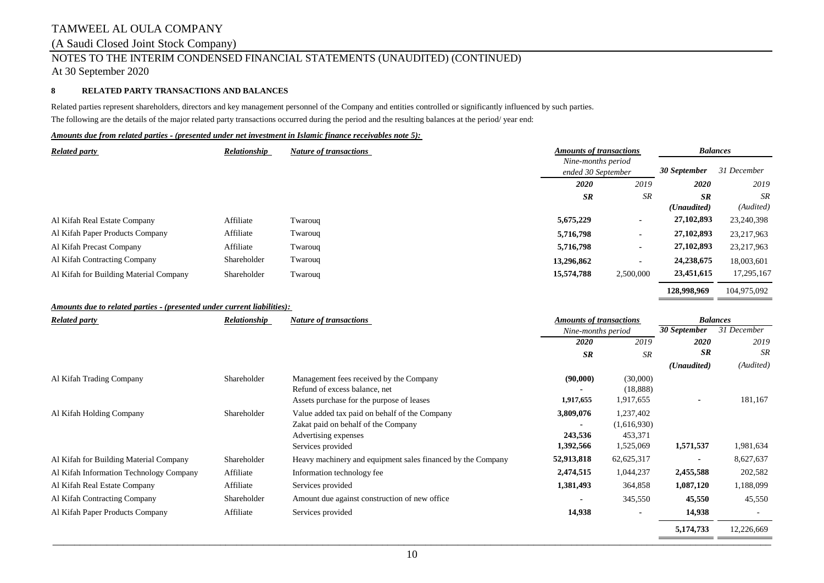### (A Saudi Closed Joint Stock Company)

## NOTES TO THE INTERIM CONDENSED FINANCIAL STATEMENTS (UNAUDITED) (CONTINUED)

At 30 September 2020

### **8 RELATED PARTY TRANSACTIONS AND BALANCES**

Related parties represent shareholders, directors and key management personnel of the Company and entities controlled or significantly influenced by such parties. The following are the details of the major related party transactions occurred during the period and the resulting balances at the period/ year end:

### *Amounts due from related parties ‑ (presented under net investment in Islamic finance receivables note 5):*

| <b>Related party</b>                   | Relationship | <b>Nature of transactions</b> |            | <b>Amounts of transactions</b>           |                      | <b>Balances</b> |
|----------------------------------------|--------------|-------------------------------|------------|------------------------------------------|----------------------|-----------------|
|                                        |              |                               |            | Nine-months period<br>ended 30 September |                      |                 |
|                                        |              |                               | 2020       | 2019                                     | <b>2020</b>          | 2019            |
|                                        |              |                               | <b>SR</b>  | SR                                       | <b>SR</b>            | SR              |
|                                        |              |                               |            |                                          | ( <i>Unaudited</i> ) | (Audited)       |
| Al Kifah Real Estate Company           | Affiliate    | Twarouq                       | 5,675,229  | $\overline{\phantom{a}}$                 | 27,102,893           | 23,240,398      |
| Al Kifah Paper Products Company        | Affiliate    | Twarouq                       | 5,716,798  | $\overline{\phantom{a}}$                 | 27,102,893           | 23,217,963      |
| Al Kifah Precast Company               | Affiliate    | Twaroug                       | 5,716,798  | $\blacksquare$                           | 27,102,893           | 23,217,963      |
| Al Kifah Contracting Company           | Shareholder  | Twarouq                       | 13,296,862 |                                          | 24,238,675           | 18,003,601      |
| Al Kifah for Building Material Company | Shareholder  | Twarouq                       | 15,574,788 | 2,500,000                                | 23,451,615           | 17,295,167      |
|                                        |              |                               |            |                                          | 128,998,969          | 104,975,092     |

### *Amounts due to related parties ‑ (presented under current liabilities):*

| <b>Related party</b>                    | Relationship | Nature of transactions                                                                                       | <b>Amounts of transactions</b> |                                     | <b>Balances</b> |             |
|-----------------------------------------|--------------|--------------------------------------------------------------------------------------------------------------|--------------------------------|-------------------------------------|-----------------|-------------|
|                                         |              |                                                                                                              | Nine-months period             |                                     | 30 September    | 31 December |
|                                         |              |                                                                                                              | 2020                           | 2019                                | <b>2020</b>     | 2019        |
|                                         |              |                                                                                                              | <b>SR</b>                      | SR                                  | <b>SR</b>       | <b>SR</b>   |
|                                         |              |                                                                                                              |                                |                                     | (Unaudited)     | (Audited)   |
| Al Kifah Trading Company                | Shareholder  | Management fees received by the Company<br>Refund of excess balance, net                                     | (90,000)                       | (30,000)<br>(18, 888)               |                 |             |
|                                         |              | Assets purchase for the purpose of leases                                                                    | 1,917,655                      | 1,917,655                           | $\blacksquare$  | 181,167     |
| Al Kifah Holding Company                | Shareholder  | Value added tax paid on behalf of the Company<br>Zakat paid on behalf of the Company<br>Advertising expenses | 3,809,076<br>243,536           | 1,237,402<br>(1,616,930)<br>453,371 |                 |             |
|                                         |              | Services provided                                                                                            | 1,392,566                      | 1,525,069                           | 1,571,537       | 1,981,634   |
| Al Kifah for Building Material Company  | Shareholder  | Heavy machinery and equipment sales financed by the Company                                                  | 52,913,818                     | 62, 625, 317                        |                 | 8,627,637   |
| Al Kifah Information Technology Company | Affiliate    | Information technology fee                                                                                   | 2,474,515                      | 1,044,237                           | 2,455,588       | 202,582     |
| Al Kifah Real Estate Company            | Affiliate    | Services provided                                                                                            | 1,381,493                      | 364,858                             | 1,087,120       | 1,188,099   |
| Al Kifah Contracting Company            | Shareholder  | Amount due against construction of new office.                                                               |                                | 345,550                             | 45,550          | 45,550      |
| Al Kifah Paper Products Company         | Affiliate    | Services provided                                                                                            | 14,938                         |                                     | 14,938          |             |
|                                         |              |                                                                                                              |                                |                                     | 5,174,733       | 12,226,669  |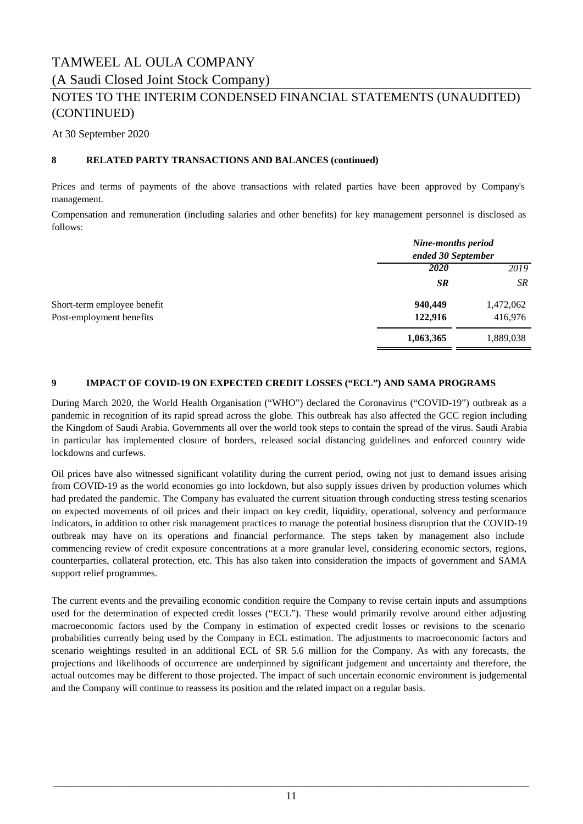## TAMWEEL AL OULA COMPANY (A Saudi Closed Joint Stock Company)

### NOTES TO THE INTERIM CONDENSED FINANCIAL STATEMENTS (UNAUDITED) (CONTINUED)

At 30 September 2020

### **8 RELATED PARTY TRANSACTIONS AND BALANCES (continued)**

Prices and terms of payments of the above transactions with related parties have been approved by Company's management.

Compensation and remuneration (including salaries and other benefits) for key management personnel is disclosed as follows:

|                             | <b>Nine-months period</b><br>ended 30 September |           |
|-----------------------------|-------------------------------------------------|-----------|
|                             | 2020                                            | 2019      |
|                             | <b>SR</b>                                       | <b>SR</b> |
| Short-term employee benefit | 940,449                                         | 1,472,062 |
| Post-employment benefits    | 122,916                                         | 416,976   |
|                             | 1,063,365                                       | 1,889,038 |

### **9 IMPACT OF COVID-19 ON EXPECTED CREDIT LOSSES ("ECL") AND SAMA PROGRAMS**

During March 2020, the World Health Organisation ("WHO") declared the Coronavirus ("COVID-19") outbreak as a pandemic in recognition of its rapid spread across the globe. This outbreak has also affected the GCC region including the Kingdom of Saudi Arabia. Governments all over the world took steps to contain the spread of the virus. Saudi Arabia in particular has implemented closure of borders, released social distancing guidelines and enforced country wide lockdowns and curfews.

Oil prices have also witnessed significant volatility during the current period, owing not just to demand issues arising from COVID-19 as the world economies go into lockdown, but also supply issues driven by production volumes which had predated the pandemic. The Company has evaluated the current situation through conducting stress testing scenarios on expected movements of oil prices and their impact on key credit, liquidity, operational, solvency and performance indicators, in addition to other risk management practices to manage the potential business disruption that the COVID-19 outbreak may have on its operations and financial performance. The steps taken by management also include commencing review of credit exposure concentrations at a more granular level, considering economic sectors, regions, counterparties, collateral protection, etc. This has also taken into consideration the impacts of government and SAMA support relief programmes.

The current events and the prevailing economic condition require the Company to revise certain inputs and assumptions used for the determination of expected credit losses ("ECL"). These would primarily revolve around either adjusting macroeconomic factors used by the Company in estimation of expected credit losses or revisions to the scenario probabilities currently being used by the Company in ECL estimation. The adjustments to macroeconomic factors and scenario weightings resulted in an additional ECL of SR 5.6 million for the Company. As with any forecasts, the projections and likelihoods of occurrence are underpinned by significant judgement and uncertainty and therefore, the actual outcomes may be different to those projected. The impact of such uncertain economic environment is judgemental and the Company will continue to reassess its position and the related impact on a regular basis.